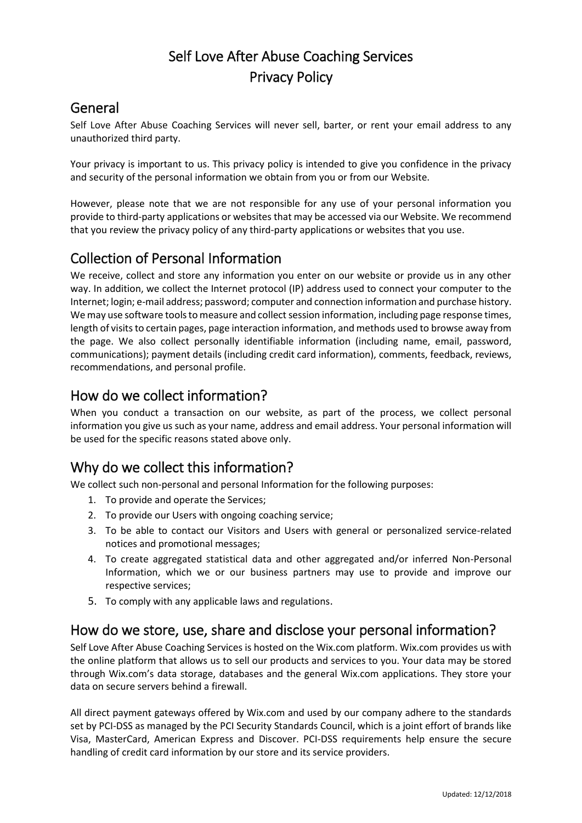# Self Love After Abuse Coaching Services Privacy Policy

### General

Self Love After Abuse Coaching Services will never sell, barter, or rent your email address to any unauthorized third party.

Your privacy is important to us. This privacy policy is intended to give you confidence in the privacy and security of the personal information we obtain from you or from our Website.

However, please note that we are not responsible for any use of your personal information you provide to third-party applications or websites that may be accessed via our Website. We recommend that you review the privacy policy of any third-party applications or websites that you use.

### Collection of Personal Information

We receive, collect and store any information you enter on our website or provide us in any other way. In addition, we collect the Internet protocol (IP) address used to connect your computer to the Internet; login; e-mail address; password; computer and connection information and purchase history. We may use software tools to measure and collect session information, including page response times, length of visits to certain pages, page interaction information, and methods used to browse away from the page. We also collect personally identifiable information (including name, email, password, communications); payment details (including credit card information), comments, feedback, reviews, recommendations, and personal profile.

### How do we collect information?

When you conduct a transaction on our website, as part of the process, we collect personal information you give us such as your name, address and email address. Your personal information will be used for the specific reasons stated above only.

## Why do we collect this information?

We collect such non-personal and personal Information for the following purposes:

- 1. To provide and operate the Services;
- 2. To provide our Users with ongoing coaching service;
- 3. To be able to contact our Visitors and Users with general or personalized service-related notices and promotional messages;
- 4. To create aggregated statistical data and other aggregated and/or inferred Non-Personal Information, which we or our business partners may use to provide and improve our respective services;
- 5. To comply with any applicable laws and regulations.

### How do we store, use, share and disclose your personal information?

Self Love After Abuse Coaching Services is hosted on the Wix.com platform. Wix.com provides us with the online platform that allows us to sell our products and services to you. Your data may be stored through Wix.com's data storage, databases and the general Wix.com applications. They store your data on secure servers behind a firewall.

All direct payment gateways offered by Wix.com and used by our company adhere to the standards set by PCI-DSS as managed by the PCI Security Standards Council, which is a joint effort of brands like Visa, MasterCard, American Express and Discover. PCI-DSS requirements help ensure the secure handling of credit card information by our store and its service providers.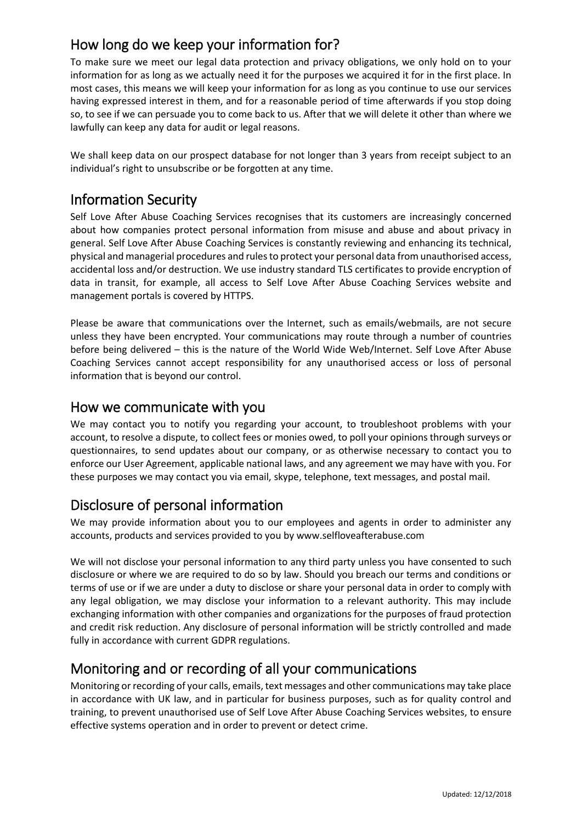## How long do we keep your information for?

To make sure we meet our legal data protection and privacy obligations, we only hold on to your information for as long as we actually need it for the purposes we acquired it for in the first place. In most cases, this means we will keep your information for as long as you continue to use our services having expressed interest in them, and for a reasonable period of time afterwards if you stop doing so, to see if we can persuade you to come back to us. After that we will delete it other than where we lawfully can keep any data for audit or legal reasons.

We shall keep data on our prospect database for not longer than 3 years from receipt subject to an individual's right to unsubscribe or be forgotten at any time.

### Information Security

Self Love After Abuse Coaching Services recognises that its customers are increasingly concerned about how companies protect personal information from misuse and abuse and about privacy in general. Self Love After Abuse Coaching Services is constantly reviewing and enhancing its technical, physical and managerial procedures and rules to protect your personal data from unauthorised access, accidental loss and/or destruction. We use industry standard TLS certificates to provide encryption of data in transit, for example, all access to Self Love After Abuse Coaching Services website and management portals is covered by HTTPS.

Please be aware that communications over the Internet, such as emails/webmails, are not secure unless they have been encrypted. Your communications may route through a number of countries before being delivered – this is the nature of the World Wide Web/Internet. Self Love After Abuse Coaching Services cannot accept responsibility for any unauthorised access or loss of personal information that is beyond our control.

#### How we communicate with you

We may contact you to notify you regarding your account, to troubleshoot problems with your account, to resolve a dispute, to collect fees or monies owed, to poll your opinions through surveys or questionnaires, to send updates about our company, or as otherwise necessary to contact you to enforce our User Agreement, applicable national laws, and any agreement we may have with you. For these purposes we may contact you via email, skype, telephone, text messages, and postal mail.

### Disclosure of personal information

We may provide information about you to our employees and agents in order to administer any accounts, products and services provided to you by www.selfloveafterabuse.com

We will not disclose your personal information to any third party unless you have consented to such disclosure or where we are required to do so by law. Should you breach our terms and conditions or terms of use or if we are under a duty to disclose or share your personal data in order to comply with any legal obligation, we may disclose your information to a relevant authority. This may include exchanging information with other companies and organizations for the purposes of fraud protection and credit risk reduction. Any disclosure of personal information will be strictly controlled and made fully in accordance with current GDPR regulations.

### Monitoring and or recording of all your communications

Monitoring or recording of your calls, emails, text messages and other communications may take place in accordance with UK law, and in particular for business purposes, such as for quality control and training, to prevent unauthorised use of Self Love After Abuse Coaching Services websites, to ensure effective systems operation and in order to prevent or detect crime.